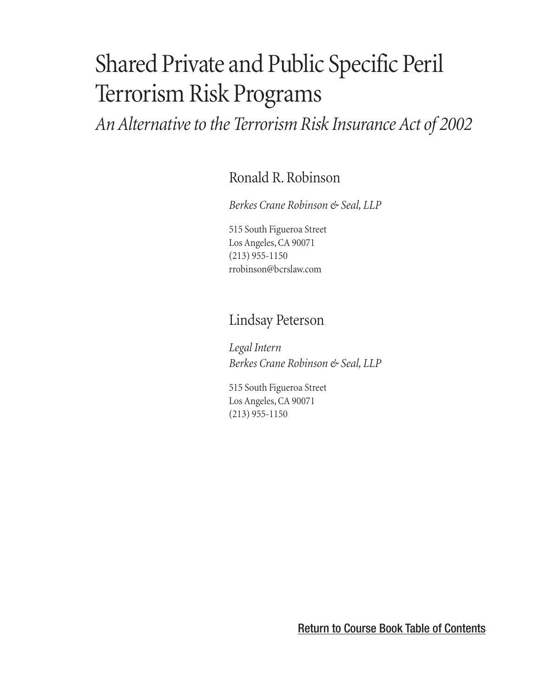# Shared Private and Public Specific Peril Terrorism Risk Programs

*An Alternative to the Terrorism Risk Insurance Act of 2002*

[Ronald R. Robinson](#page-1-0)

*Berkes Crane Robinson & Seal, LLP*

515 South Figueroa Street Los Angeles, CA 90071 (213) 955-1150 [rrobinson@bcrslaw.com](mailto:rrobinson@bcrslaw.com)

### Lindsay Peterson

*Legal Intern Berkes Crane Robinson & Seal, LLP*

515 South Figueroa Street Los Angeles, CA 90071 (213) 955-1150

[Return to Course Book Table of Contents](#page-3-0)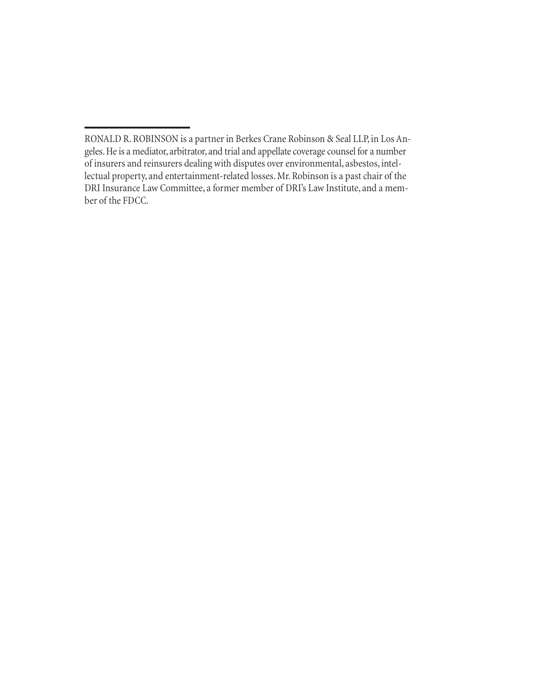<span id="page-1-0"></span>RONALD R. ROBINSON is a partner in Berkes Crane Robinson & Seal LLP, in Los Angeles. He is a mediator, arbitrator, and trial and appellate coverage counsel for a number of insurers and reinsurers dealing with disputes over environmental, asbestos, intellectual property, and entertainment-related losses. Mr. Robinson is a past chair of the DRI Insurance Law Committee, a former member of DRI's Law Institute, and a member of the FDCC.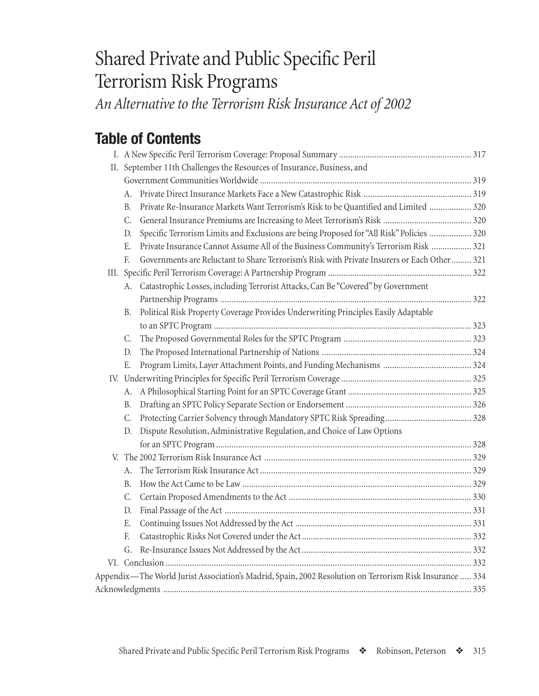## Shared Private and Public Specific Peril Terrorism Risk Programs

*An Alternative to the Terrorism Risk Insurance Act of 2002*

## **Table of Contents**

| II. September 11th Challenges the Resources of Insurance, Business, and                                 |  |
|---------------------------------------------------------------------------------------------------------|--|
|                                                                                                         |  |
| А.                                                                                                      |  |
| Private Re-Insurance Markets Want Terrorism's Risk to be Quantified and Limited  320<br>В.              |  |
| C.                                                                                                      |  |
| Specific Terrorism Limits and Exclusions are being Proposed for "All Risk" Policies  320<br>D.          |  |
| Private Insurance Cannot Assume All of the Business Community's Terrorism Risk  321<br>Е.               |  |
| Governments are Reluctant to Share Terrorism's Risk with Private Insurers or Each Other  321<br>F.      |  |
|                                                                                                         |  |
| Catastrophic Losses, including Terrorist Attacks, Can Be "Covered" by Government<br>А.                  |  |
|                                                                                                         |  |
| Political Risk Property Coverage Provides Underwriting Principles Easily Adaptable<br>В.                |  |
|                                                                                                         |  |
| C.                                                                                                      |  |
| D.                                                                                                      |  |
| Ε.                                                                                                      |  |
|                                                                                                         |  |
| А.                                                                                                      |  |
| В.                                                                                                      |  |
| C.                                                                                                      |  |
| Dispute Resolution, Administrative Regulation, and Choice of Law Options<br>D.                          |  |
|                                                                                                         |  |
|                                                                                                         |  |
| А.                                                                                                      |  |
| B.                                                                                                      |  |
| C.                                                                                                      |  |
| D.                                                                                                      |  |
| Е.                                                                                                      |  |
| F.                                                                                                      |  |
| G.                                                                                                      |  |
|                                                                                                         |  |
| Appendix—The World Jurist Association's Madrid, Spain, 2002 Resolution on Terrorism Risk Insurance  334 |  |
|                                                                                                         |  |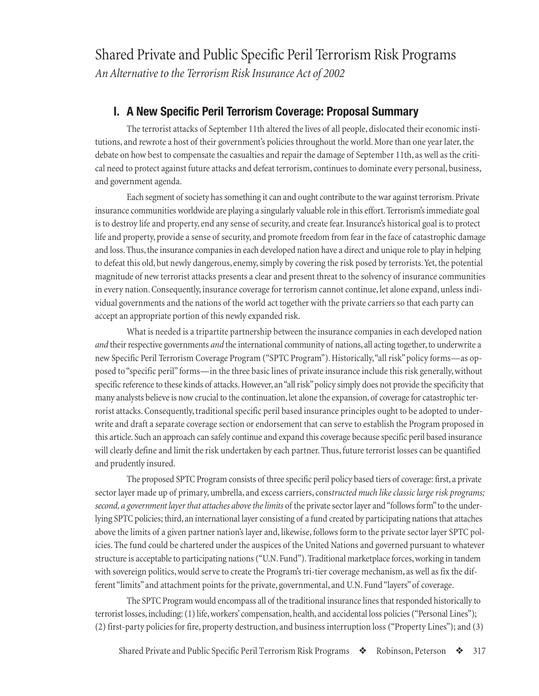<span id="page-4-0"></span>Shared Private and Public Specific Peril Terrorism Risk Programs *An Alternative to the Terrorism Risk Insurance Act of 2002*

#### **I. A New Specific Peril Terrorism Coverage: Proposal Summary**

The terrorist attacks of September 11th altered the lives of all people, dislocated their economic institutions, and rewrote a host of their government's policies throughout the world. More than one year later, the debate on how best to compensate the casualties and repair the damage of September 11th, as well as the critical need to protect against future attacks and defeat terrorism, continues to dominate every personal, business, and government agenda.

Each segment of society has something it can and ought contribute to the war against terrorism. Private insurance communities worldwide are playing a singularly valuable role in this effort. Terrorism's immediate goal is to destroy life and property, end any sense of security, and create fear. Insurance's historical goal is to protect life and property, provide a sense of security, and promote freedom from fear in the face of catastrophic damage and loss. Thus, the insurance companies in each developed nation have a direct and unique role to play in helping to defeat this old, but newly dangerous, enemy, simply by covering the risk posed by terrorists. Yet, the potential magnitude of new terrorist attacks presents a clear and present threat to the solvency of insurance communities in every nation. Consequently, insurance coverage for terrorism cannot continue, let alone expand, unless individual governments and the nations of the world act together with the private carriers so that each party can accept an appropriate portion of this newly expanded risk.

What is needed is a tripartite partnership between the insurance companies in each developed nation *and* their respective governments *and* the international community of nations, all acting together, to underwrite a new Specific Peril Terrorism Coverage Program ("SPTC Program"). Historically, "all risk" policy forms—as opposed to "specific peril" forms—in the three basic lines of private insurance include this risk generally, without specific reference to these kinds of attacks. However, an "all risk" policy simply does not provide the specificity that many analysts believe is now crucial to the continuation, let alone the expansion, of coverage for catastrophic terrorist attacks. Consequently, traditional specific peril based insurance principles ought to be adopted to underwrite and draft a separate coverage section or endorsement that can serve to establish the Program proposed in this article. Such an approach can safely continue and expand this coverage because specific peril based insurance will clearly define and limit the risk undertaken by each partner. Thus, future terrorist losses can be quantified and prudently insured.

The proposed SPTC Program consists of three specific peril policy based tiers of coverage: first, a private sector layer made up of primary, umbrella, and excess carriers, cons*tructed much like classic large risk programs; second, a government layer that attaches above the limits* of the private sector layer and "follows form" to the underlying SPTC policies; third, an international layer consisting of a fund created by participating nations that attaches above the limits of a given partner nation's layer and, likewise, follows form to the private sector layer SPTC policies. The fund could be chartered under the auspices of the United Nations and governed pursuant to whatever structure is acceptable to participating nations ("U.N. Fund"). Traditional marketplace forces, working in tandem with sovereign politics, would serve to create the Program's tri-tier coverage mechanism, as well as fix the different "limits" and attachment points for the private, governmental, and U.N. Fund "layers" of coverage.

The SPTC Program would encompass all of the traditional insurance lines that responded historically to terrorist losses, including: (1) life, workers' compensation, health, and accidental loss policies ("Personal Lines"); (2) first-party policies for fire, property destruction, and business interruption loss ("Property Lines"); and (3)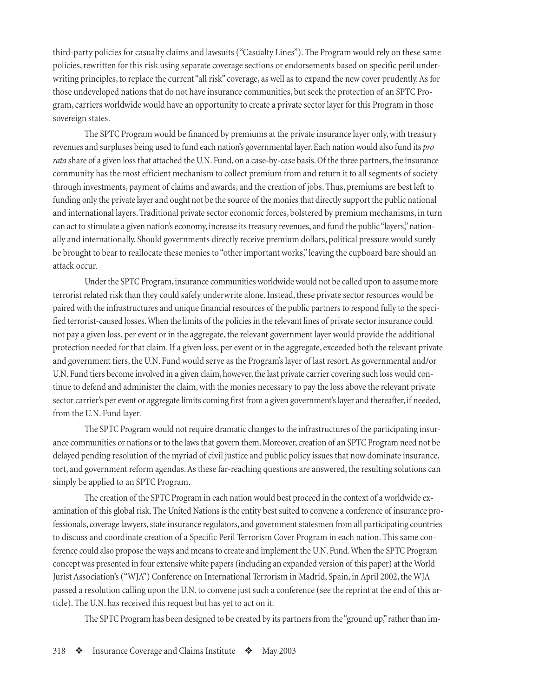third-party policies for casualty claims and lawsuits ("Casualty Lines"). The Program would rely on these same policies, rewritten for this risk using separate coverage sections or endorsements based on specific peril underwriting principles, to replace the current "all risk" coverage, as well as to expand the new cover prudently. As for those undeveloped nations that do not have insurance communities, but seek the protection of an SPTC Program, carriers worldwide would have an opportunity to create a private sector layer for this Program in those sovereign states.

The SPTC Program would be financed by premiums at the private insurance layer only, with treasury revenues and surpluses being used to fund each nation's governmental layer. Each nation would also fund its *pro rata* share of a given loss that attached the U.N. Fund, on a case-by-case basis. Of the three partners, the insurance community has the most efficient mechanism to collect premium from and return it to all segments of society through investments, payment of claims and awards, and the creation of jobs. Thus, premiums are best left to funding only the private layer and ought not be the source of the monies that directly support the public national and international layers. Traditional private sector economic forces, bolstered by premium mechanisms, in turn can act to stimulate a given nation's economy, increase its treasury revenues, and fund the public "layers," nationally and internationally. Should governments directly receive premium dollars, political pressure would surely be brought to bear to reallocate these monies to "other important works," leaving the cupboard bare should an attack occur.

Under the SPTC Program, insurance communities worldwide would not be called upon to assume more terrorist related risk than they could safely underwrite alone. Instead, these private sector resources would be paired with the infrastructures and unique financial resources of the public partners to respond fully to the specified terrorist-caused losses. When the limits of the policies in the relevant lines of private sector insurance could not pay a given loss, per event or in the aggregate, the relevant government layer would provide the additional protection needed for that claim. If a given loss, per event or in the aggregate, exceeded both the relevant private and government tiers, the U.N. Fund would serve as the Program's layer of last resort. As governmental and/or U.N. Fund tiers become involved in a given claim, however, the last private carrier covering such loss would continue to defend and administer the claim, with the monies necessary to pay the loss above the relevant private sector carrier's per event or aggregate limits coming first from a given government's layer and thereafter, if needed, from the U.N. Fund layer.

The SPTC Program would not require dramatic changes to the infrastructures of the participating insurance communities or nations or to the laws that govern them. Moreover, creation of an SPTC Program need not be delayed pending resolution of the myriad of civil justice and public policy issues that now dominate insurance, tort, and government reform agendas. As these far-reaching questions are answered, the resulting solutions can simply be applied to an SPTC Program.

The creation of the SPTC Program in each nation would best proceed in the context of a worldwide examination of this global risk. The United Nations is the entity best suited to convene a conference of insurance professionals, coverage lawyers, state insurance regulators, and government statesmen from all participating countries to discuss and coordinate creation of a Specific Peril Terrorism Cover Program in each nation. This same conference could also propose the ways and means to create and implement the U.N. Fund. When the SPTC Program concept was presented in four extensive white papers (including an expanded version of this paper) at the World Jurist Association's ("WJA") Conference on International Terrorism in Madrid, Spain, in April 2002, the WJA passed a resolution calling upon the U.N. to convene just such a conference (see the reprint at the end of this article). The U.N. has received this request but has yet to act on it.

The SPTC Program has been designed to be created by its partners from the "ground up," rather than im-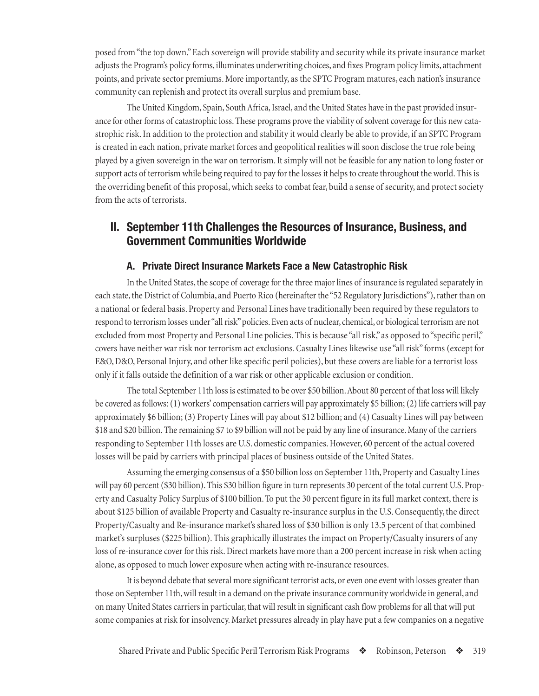<span id="page-6-0"></span>posed from "the top down." Each sovereign will provide stability and security while its private insurance market adjusts the Program's policy forms, illuminates underwriting choices, and fixes Program policy limits, attachment points, and private sector premiums. More importantly, as the SPTC Program matures, each nation's insurance community can replenish and protect its overall surplus and premium base.

The United Kingdom, Spain, South Africa, Israel, and the United States have in the past provided insurance for other forms of catastrophic loss. These programs prove the viability of solvent coverage for this new catastrophic risk. In addition to the protection and stability it would clearly be able to provide, if an SPTC Program is created in each nation, private market forces and geopolitical realities will soon disclose the true role being played by a given sovereign in the war on terrorism. It simply will not be feasible for any nation to long foster or support acts of terrorism while being required to pay for the losses it helps to create throughout the world. This is the overriding benefit of this proposal, which seeks to combat fear, build a sense of security, and protect society from the acts of terrorists.

#### **II. September 11th Challenges the Resources of Insurance, Business, and Government Communities Worldwide**

#### **A. Private Direct Insurance Markets Face a New Catastrophic Risk**

In the United States, the scope of coverage for the three major lines of insurance is regulated separately in each state, the District of Columbia, and Puerto Rico (hereinafter the "52 Regulatory Jurisdictions"), rather than on a national or federal basis. Property and Personal Lines have traditionally been required by these regulators to respond to terrorism losses under "all risk" policies. Even acts of nuclear, chemical, or biological terrorism are not excluded from most Property and Personal Line policies. This is because "all risk," as opposed to "specific peril," covers have neither war risk nor terrorism act exclusions. Casualty Lines likewise use "all risk" forms (except for E&O, D&O, Personal Injury, and other like specific peril policies), but these covers are liable for a terrorist loss only if it falls outside the definition of a war risk or other applicable exclusion or condition.

The total September 11th loss is estimated to be over \$50 billion. About 80 percent of that loss will likely be covered as follows: (1) workers' compensation carriers will pay approximately \$5 billion; (2) life carriers will pay approximately \$6 billion; (3) Property Lines will pay about \$12 billion; and (4) Casualty Lines will pay between \$18 and \$20 billion. The remaining \$7 to \$9 billion will not be paid by any line of insurance. Many of the carriers responding to September 11th losses are U.S. domestic companies. However, 60 percent of the actual covered losses will be paid by carriers with principal places of business outside of the United States.

Assuming the emerging consensus of a \$50 billion loss on September 11th, Property and Casualty Lines will pay 60 percent (\$30 billion). This \$30 billion figure in turn represents 30 percent of the total current U.S. Property and Casualty Policy Surplus of \$100 billion. To put the 30 percent figure in its full market context, there is about \$125 billion of available Property and Casualty re-insurance surplus in the U.S. Consequently, the direct Property/Casualty and Re-insurance market's shared loss of \$30 billion is only 13.5 percent of that combined market's surpluses (\$225 billion). This graphically illustrates the impact on Property/Casualty insurers of any loss of re-insurance cover for this risk. Direct markets have more than a 200 percent increase in risk when acting alone, as opposed to much lower exposure when acting with re-insurance resources.

It is beyond debate that several more significant terrorist acts, or even one event with losses greater than those on September 11th, will result in a demand on the private insurance community worldwide in general, and on many United States carriers in particular, that will result in significant cash flow problems for all that will put some companies at risk for insolvency. Market pressures already in play have put a few companies on a negative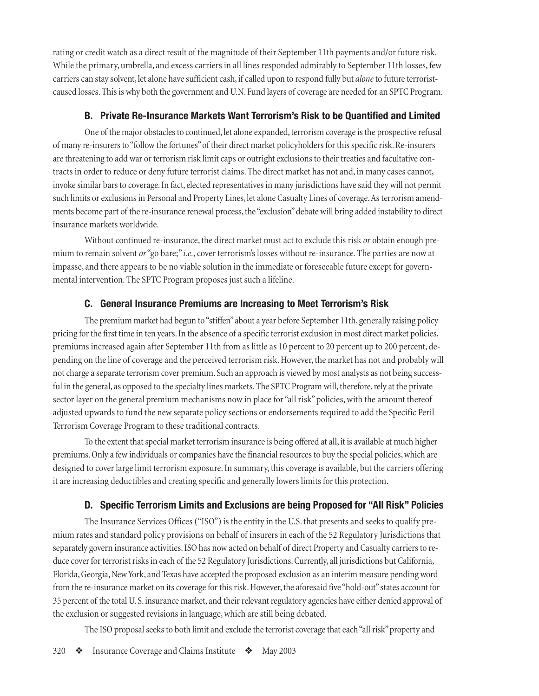<span id="page-7-0"></span>rating or credit watch as a direct result of the magnitude of their September 11th payments and/or future risk. While the primary, umbrella, and excess carriers in all lines responded admirably to September 11th losses, few carriers can stay solvent, let alone have sufficient cash, if called upon to respond fully but *alone* to future terroristcaused losses. This is why both the government and U.N. Fund layers of coverage are needed for an SPTC Program.

#### **B. Private Re-Insurance Markets Want Terrorism's Risk to be Quantified and Limited**

One of the major obstacles to continued, let alone expanded, terrorism coverage is the prospective refusal of many re-insurers to "follow the fortunes" of their direct market policyholders for this specific risk. Re-insurers are threatening to add war or terrorism risk limit caps or outright exclusions to their treaties and facultative contracts in order to reduce or deny future terrorist claims. The direct market has not and, in many cases cannot, invoke similar bars to coverage. In fact, elected representatives in many jurisdictions have said they will not permit such limits or exclusions in Personal and Property Lines, let alone Casualty Lines of coverage. As terrorism amendments become part of the re-insurance renewal process, the "exclusion" debate will bring added instability to direct insurance markets worldwide.

Without continued re-insurance, the direct market must act to exclude this risk *or* obtain enough premium to remain solvent *or* "go bare;" *i.e.*, cover terrorism's losses without re-insurance. The parties are now at impasse, and there appears to be no viable solution in the immediate or foreseeable future except for governmental intervention. The SPTC Program proposes just such a lifeline.

#### **C. General Insurance Premiums are Increasing to Meet Terrorism's Risk**

The premium market had begun to "stiffen" about a year before September 11th, generally raising policy pricing for the first time in ten years. In the absence of a specific terrorist exclusion in most direct market policies, premiums increased again after September 11th from as little as 10 percent to 20 percent up to 200 percent, depending on the line of coverage and the perceived terrorism risk. However, the market has not and probably will not charge a separate terrorism cover premium. Such an approach is viewed by most analysts as not being successful in the general, as opposed to the specialty lines markets. The SPTC Program will, therefore, rely at the private sector layer on the general premium mechanisms now in place for "all risk" policies, with the amount thereof adjusted upwards to fund the new separate policy sections or endorsements required to add the Specific Peril Terrorism Coverage Program to these traditional contracts.

To the extent that special market terrorism insurance is being offered at all, it is available at much higher premiums. Only a few individuals or companies have the financial resources to buy the special policies, which are designed to cover large limit terrorism exposure. In summary, this coverage is available, but the carriers offering it are increasing deductibles and creating specific and generally lowers limits for this protection.

#### **D. Specific Terrorism Limits and Exclusions are being Proposed for "All Risk" Policies**

The Insurance Services Offices ("ISO") is the entity in the U.S. that presents and seeks to qualify premium rates and standard policy provisions on behalf of insurers in each of the 52 Regulatory Jurisdictions that separately govern insurance activities. ISO has now acted on behalf of direct Property and Casualty carriers to reduce cover for terrorist risks in each of the 52 Regulatory Jurisdictions. Currently, all jurisdictions but California, Florida, Georgia, New York, and Texas have accepted the proposed exclusion as an interim measure pending word from the re-insurance market on its coverage for this risk. However, the aforesaid five "hold-out" states account for 35 percent of the total U. S. insurance market, and their relevant regulatory agencies have either denied approval of the exclusion or suggested revisions in language, which are still being debated.

The ISO proposal seeks to both limit and exclude the terrorist coverage that each "all risk" property and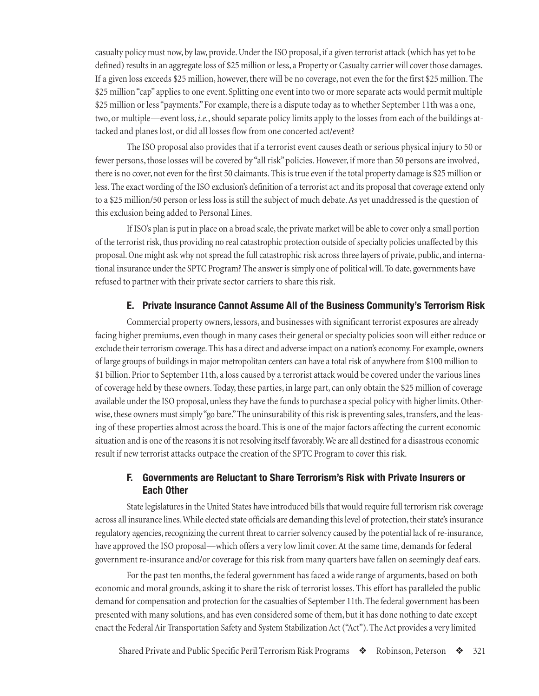<span id="page-8-0"></span>casualty policy must now, by law, provide. Under the ISO proposal, if a given terrorist attack (which has yet to be defined) results in an aggregate loss of \$25 million or less, a Property or Casualty carrier will cover those damages. If a given loss exceeds \$25 million, however, there will be no coverage, not even the for the first \$25 million. The \$25 million "cap" applies to one event. Splitting one event into two or more separate acts would permit multiple \$25 million or less "payments." For example, there is a dispute today as to whether September 11th was a one, two, or multiple—event loss, *i.e.*, should separate policy limits apply to the losses from each of the buildings attacked and planes lost, or did all losses flow from one concerted act/event?

The ISO proposal also provides that if a terrorist event causes death or serious physical injury to 50 or fewer persons, those losses will be covered by "all risk" policies. However, if more than 50 persons are involved, there is no cover, not even for the first 50 claimants. This is true even if the total property damage is \$25 million or less. The exact wording of the ISO exclusion's definition of a terrorist act and its proposal that coverage extend only to a \$25 million/50 person or less loss is still the subject of much debate. As yet unaddressed is the question of this exclusion being added to Personal Lines.

If ISO's plan is put in place on a broad scale, the private market will be able to cover only a small portion of the terrorist risk, thus providing no real catastrophic protection outside of specialty policies unaffected by this proposal. One might ask why not spread the full catastrophic risk across three layers of private, public, and international insurance under the SPTC Program? The answer is simply one of political will. To date, governments have refused to partner with their private sector carriers to share this risk.

#### **E. Private Insurance Cannot Assume All of the Business Community's Terrorism Risk**

Commercial property owners, lessors, and businesses with significant terrorist exposures are already facing higher premiums, even though in many cases their general or specialty policies soon will either reduce or exclude their terrorism coverage. This has a direct and adverse impact on a nation's economy. For example, owners of large groups of buildings in major metropolitan centers can have a total risk of anywhere from \$100 million to \$1 billion. Prior to September 11th, a loss caused by a terrorist attack would be covered under the various lines of coverage held by these owners. Today, these parties, in large part, can only obtain the \$25 million of coverage available under the ISO proposal, unless they have the funds to purchase a special policy with higher limits. Otherwise, these owners must simply "go bare." The uninsurability of this risk is preventing sales, transfers, and the leasing of these properties almost across the board. This is one of the major factors affecting the current economic situation and is one of the reasons it is not resolving itself favorably. We are all destined for a disastrous economic result if new terrorist attacks outpace the creation of the SPTC Program to cover this risk.

#### **F. Governments are Reluctant to Share Terrorism's Risk with Private Insurers or Each Other**

State legislatures in the United States have introduced bills that would require full terrorism risk coverage across all insurance lines. While elected state officials are demanding this level of protection, their state's insurance regulatory agencies, recognizing the current threat to carrier solvency caused by the potential lack of re-insurance, have approved the ISO proposal—which offers a very low limit cover. At the same time, demands for federal government re-insurance and/or coverage for this risk from many quarters have fallen on seemingly deaf ears.

For the past ten months, the federal government has faced a wide range of arguments, based on both economic and moral grounds, asking it to share the risk of terrorist losses. This effort has paralleled the public demand for compensation and protection for the casualties of September 11th. The federal government has been presented with many solutions, and has even considered some of them, but it has done nothing to date except enact the Federal Air Transportation Safety and System Stabilization Act ("Act"). The Act provides a very limited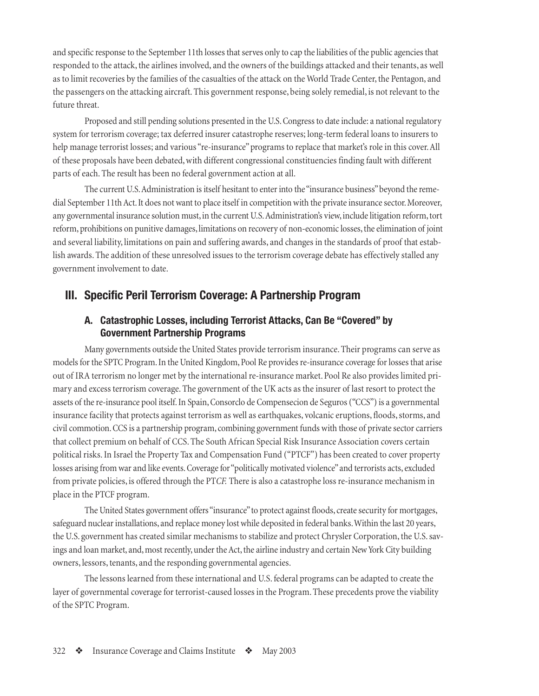<span id="page-9-0"></span>and specific response to the September 11th losses that serves only to cap the liabilities of the public agencies that responded to the attack, the airlines involved, and the owners of the buildings attacked and their tenants, as well as to limit recoveries by the families of the casualties of the attack on the World Trade Center, the Pentagon, and the passengers on the attacking aircraft. This government response, being solely remedial, is not relevant to the future threat.

Proposed and still pending solutions presented in the U.S. Congress to date include: a national regulatory system for terrorism coverage; tax deferred insurer catastrophe reserves; long-term federal loans to insurers to help manage terrorist losses; and various "re-insurance" programs to replace that market's role in this cover. All of these proposals have been debated, with different congressional constituencies finding fault with different parts of each. The result has been no federal government action at all.

The current U.S. Administration is itself hesitant to enter into the "insurance business" beyond the remedial September 11th Act. It does not want to place itself in competition with the private insurance sector. Moreover, any governmental insurance solution must, in the current U.S. Administration's view, include litigation reform, tort reform, prohibitions on punitive damages, limitations on recovery of non-economic losses, the elimination of joint and several liability, limitations on pain and suffering awards, and changes in the standards of proof that establish awards. The addition of these unresolved issues to the terrorism coverage debate has effectively stalled any government involvement to date.

#### **III. Specific Peril Terrorism Coverage: A Partnership Program**

#### **A. Catastrophic Losses, including Terrorist Attacks, Can Be "Covered" by Government Partnership Programs**

Many governments outside the United States provide terrorism insurance. Their programs can serve as models for the SPTC Program. In the United Kingdom, Pool Re provides re-insurance coverage for losses that arise out of IRA terrorism no longer met by the international re-insurance market. Pool Re also provides limited primary and excess terrorism coverage. The government of the UK acts as the insurer of last resort to protect the assets of the re-insurance pool itself. In Spain, Consorclo de Compensecion de Seguros ("CCS") is a governmental insurance facility that protects against terrorism as well as earthquakes, volcanic eruptions, floods, storms, and civil commotion. CCS is a partnership program, combining government funds with those of private sector carriers that collect premium on behalf of CCS. The South African Special Risk Insurance Association covers certain political risks. In Israel the Property Tax and Compensation Fund ("PTCF") has been created to cover property losses arising from war and like events. Coverage for "politically motivated violence" and terrorists acts, excluded from private policies, is offered through the PT*CF.* There is also a catastrophe loss re-insurance mechanism in place in the PTCF program.

The United States government offers "insurance" to protect against floods, create security for mortgages, safeguard nuclear installations, and replace money lost while deposited in federal banks. Within the last 20 years, the U.S. government has created similar mechanisms to stabilize and protect Chrysler Corporation, the U.S. savings and loan market, and, most recently, under the Act, the airline industry and certain New York City building owners, lessors, tenants, and the responding governmental agencies.

The lessons learned from these international and U.S. federal programs can be adapted to create the layer of governmental coverage for terrorist-caused losses in the Program. These precedents prove the viability of the SPTC Program.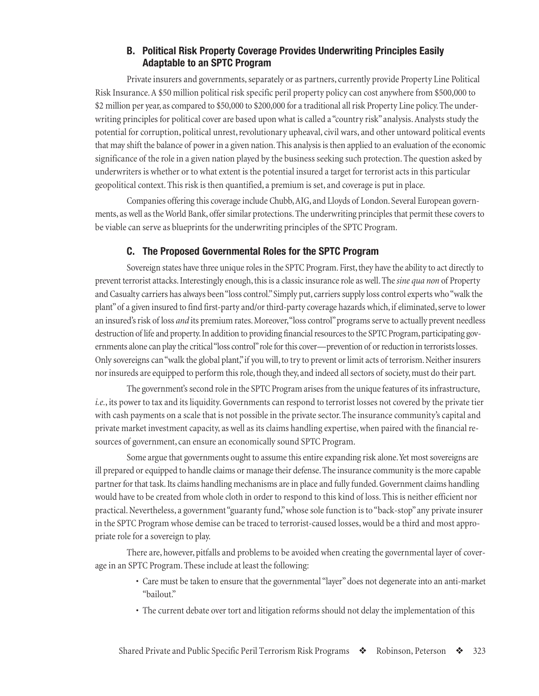#### **B. Political Risk Property Coverage Provides Underwriting Principles Easily Adaptable to an SPTC Program**

<span id="page-10-0"></span>Private insurers and governments, separately or as partners, currently provide Property Line Political Risk Insurance. A \$50 million political risk specific peril property policy can cost anywhere from \$500,000 to \$2 million per year, as compared to \$50,000 to \$200,000 for a traditional all risk Property Line policy. The underwriting principles for political cover are based upon what is called a "country risk" analysis. Analysts study the potential for corruption, political unrest, revolutionary upheaval, civil wars, and other untoward political events that may shift the balance of power in a given nation. This analysis is then applied to an evaluation of the economic significance of the role in a given nation played by the business seeking such protection. The question asked by underwriters is whether or to what extent is the potential insured a target for terrorist acts in this particular geopolitical context. This risk is then quantified, a premium is set, and coverage is put in place.

Companies offering this coverage include Chubb, AIG, and Lloyds of London. Several European governments, as well as the World Bank, offer similar protections. The underwriting principles that permit these covers to be viable can serve as blueprints for the underwriting principles of the SPTC Program.

#### **C. The Proposed Governmental Roles for the SPTC Program**

Sovereign states have three unique roles in the SPTC Program. First, they have the ability to act directly to prevent terrorist attacks. Interestingly enough, this is a classic insurance role as well. The *sine qua non* of Property and Casualty carriers has always been "loss control." Simply put, carriers supply loss control experts who "walk the plant" of a given insured to find first-party and/or third-party coverage hazards which, if eliminated, serve to lower an insured's risk of loss *and* its premium rates. Moreover, "loss control" programs serve to actually prevent needless destruction of life and property. In addition to providing financial resources to the SPTC Program, participating governments alone can play the critical "loss control" role for this cover—prevention of or reduction in terrorists losses. Only sovereigns can "walk the global plant," if you will, to try to prevent or limit acts of terrorism. Neither insurers nor insureds are equipped to perform this role, though they, and indeed all sectors of society, must do their part.

The government's second role in the SPTC Program arises from the unique features of its infrastructure, *i.e.*, its power to tax and its liquidity. Governments can respond to terrorist losses not covered by the private tier with cash payments on a scale that is not possible in the private sector. The insurance community's capital and private market investment capacity, as well as its claims handling expertise, when paired with the financial resources of government, can ensure an economically sound SPTC Program.

Some argue that governments ought to assume this entire expanding risk alone. Yet most sovereigns are ill prepared or equipped to handle claims or manage their defense. The insurance community is the more capable partner for that task. Its claims handling mechanisms are in place and fully funded. Government claims handling would have to be created from whole cloth in order to respond to this kind of loss. This is neither efficient nor practical. Nevertheless, a government "guaranty fund," whose sole function is to "back-stop" any private insurer in the SPTC Program whose demise can be traced to terrorist-caused losses, would be a third and most appropriate role for a sovereign to play.

There are, however, pitfalls and problems to be avoided when creating the governmental layer of coverage in an SPTC Program. These include at least the following:

- Care must be taken to ensure that the governmental "layer" does not degenerate into an anti-market "bailout."
- The current debate over tort and litigation reforms should not delay the implementation of this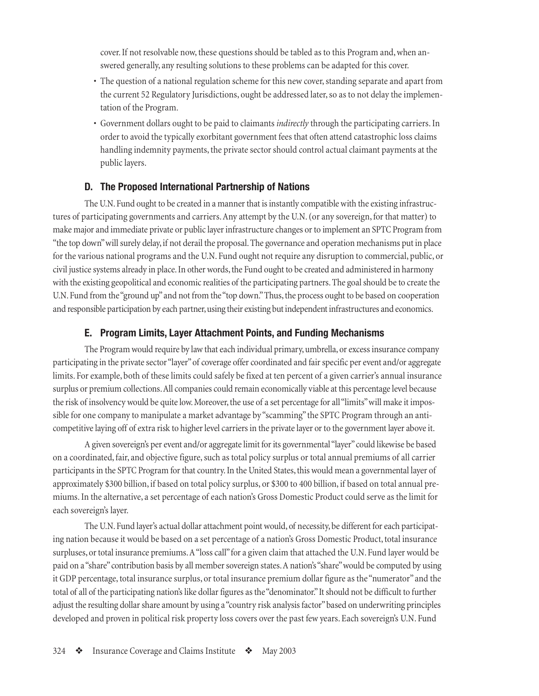<span id="page-11-0"></span>cover. If not resolvable now, these questions should be tabled as to this Program and, when answered generally, any resulting solutions to these problems can be adapted for this cover.

- The question of a national regulation scheme for this new cover, standing separate and apart from the current 52 Regulatory Jurisdictions, ought be addressed later, so as to not delay the implementation of the Program.
- Government dollars ought to be paid to claimants *indirectly* through the participating carriers. In order to avoid the typically exorbitant government fees that often attend catastrophic loss claims handling indemnity payments, the private sector should control actual claimant payments at the public layers.

#### **D. The Proposed International Partnership of Nations**

The U.N. Fund ought to be created in a manner that is instantly compatible with the existing infrastructures of participating governments and carriers. Any attempt by the U.N. (or any sovereign, for that matter) to make major and immediate private or public layer infrastructure changes or to implement an SPTC Program from "the top down" will surely delay, if not derail the proposal. The governance and operation mechanisms put in place for the various national programs and the U.N. Fund ought not require any disruption to commercial, public, or civil justice systems already in place. In other words, the Fund ought to be created and administered in harmony with the existing geopolitical and economic realities of the participating partners. The goal should be to create the U.N. Fund from the "ground up" and not from the "top down." Thus, the process ought to be based on cooperation and responsible participation by each partner, using their existing but independent infrastructures and economics.

#### **E. Program Limits, Layer Attachment Points, and Funding Mechanisms**

The Program would require by law that each individual primary, umbrella, or excess insurance company participating in the private sector "layer" of coverage offer coordinated and fair specific per event and/or aggregate limits. For example, both of these limits could safely be fixed at ten percent of a given carrier's annual insurance surplus or premium collections. All companies could remain economically viable at this percentage level because the risk of insolvency would be quite low. Moreover, the use of a set percentage for all "limits" will make it impossible for one company to manipulate a market advantage by "scamming" the SPTC Program through an anticompetitive laying off of extra risk to higher level carriers in the private layer or to the government layer above it.

A given sovereign's per event and/or aggregate limit for its governmental "layer" could likewise be based on a coordinated, fair, and objective figure, such as total policy surplus or total annual premiums of all carrier participants in the SPTC Program for that country. In the United States, this would mean a governmental layer of approximately \$300 billion, if based on total policy surplus, or \$300 to 400 billion, if based on total annual premiums. In the alternative, a set percentage of each nation's Gross Domestic Product could serve as the limit for each sovereign's layer.

The U.N. Fund layer's actual dollar attachment point would, of necessity, be different for each participating nation because it would be based on a set percentage of a nation's Gross Domestic Product, total insurance surpluses, or total insurance premiums. A "loss call" for a given claim that attached the U.N. Fund layer would be paid on a "share" contribution basis by all member sovereign states. A nation's "share" would be computed by using it GDP percentage, total insurance surplus, or total insurance premium dollar figure as the "numerator" and the total of all of the participating nation's like dollar figures as the "denominator." It should not be difficult to further adjust the resulting dollar share amount by using a "country risk analysis factor" based on underwriting principles developed and proven in political risk property loss covers over the past few years. Each sovereign's U.N. Fund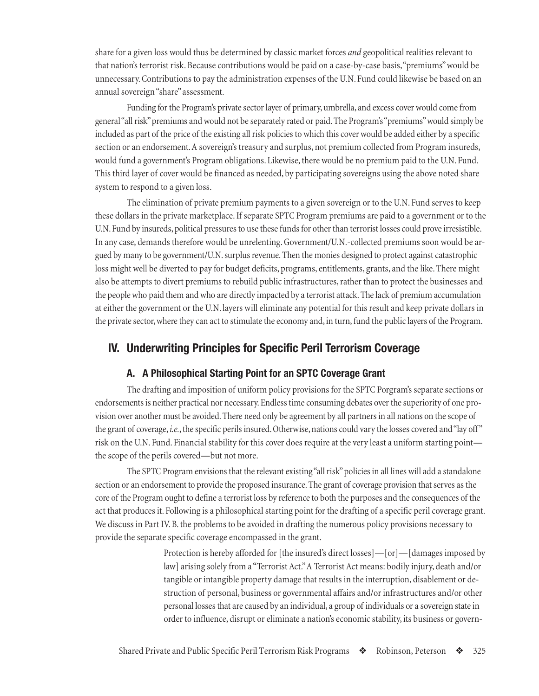<span id="page-12-0"></span>share for a given loss would thus be determined by classic market forces *and* geopolitical realities relevant to that nation's terrorist risk. Because contributions would be paid on a case-by-case basis, "premiums" would be unnecessary. Contributions to pay the administration expenses of the U.N. Fund could likewise be based on an annual sovereign "share" assessment.

Funding for the Program's private sector layer of primary, umbrella, and excess cover would come from general "all risk" premiums and would not be separately rated or paid. The Program's "premiums" would simply be included as part of the price of the existing all risk policies to which this cover would be added either by a specific section or an endorsement. A sovereign's treasury and surplus, not premium collected from Program insureds, would fund a government's Program obligations. Likewise, there would be no premium paid to the U.N. Fund. This third layer of cover would be financed as needed, by participating sovereigns using the above noted share system to respond to a given loss.

The elimination of private premium payments to a given sovereign or to the U.N. Fund serves to keep these dollars in the private marketplace. If separate SPTC Program premiums are paid to a government or to the U.N. Fund by insureds, political pressures to use these funds for other than terrorist losses could prove irresistible. In any case, demands therefore would be unrelenting. Government/U.N.-collected premiums soon would be argued by many to be government/U.N. surplus revenue. Then the monies designed to protect against catastrophic loss might well be diverted to pay for budget deficits, programs, entitlements, grants, and the like. There might also be attempts to divert premiums to rebuild public infrastructures, rather than to protect the businesses and the people who paid them and who are directly impacted by a terrorist attack. The lack of premium accumulation at either the government or the U.N. layers will eliminate any potential for this result and keep private dollars in the private sector, where they can act to stimulate the economy and, in turn, fund the public layers of the Program.

#### **IV. Underwriting Principles for Specific Peril Terrorism Coverage**

#### **A. A Philosophical Starting Point for an SPTC Coverage Grant**

The drafting and imposition of uniform policy provisions for the SPTC Porgram's separate sections or endorsements is neither practical nor necessary. Endless time consuming debates over the superiority of one provision over another must be avoided. There need only be agreement by all partners in all nations on the scope of the grant of coverage, *i.e.*, the specific perils insured. Otherwise, nations could vary the losses covered and "lay off" risk on the U.N. Fund. Financial stability for this cover does require at the very least a uniform starting point the scope of the perils covered—but not more.

The SPTC Program envisions that the relevant existing "all risk" policies in all lines will add a standalone section or an endorsement to provide the proposed insurance. The grant of coverage provision that serves as the core of the Program ought to define a terrorist loss by reference to both the purposes and the consequences of the act that produces it. Following is a philosophical starting point for the drafting of a specific peril coverage grant. We discuss in Part IV. B. the problems to be avoided in drafting the numerous policy provisions necessary to provide the separate specific coverage encompassed in the grant.

> Protection is hereby afforded for [the insured's direct losses]—[or]—[damages imposed by law] arising solely from a "Terrorist Act." A Terrorist Act means: bodily injury, death and/or tangible or intangible property damage that results in the interruption, disablement or destruction of personal, business or governmental affairs and/or infrastructures and/or other personal losses that are caused by an individual, a group of individuals or a sovereign state in order to influence, disrupt or eliminate a nation's economic stability, its business or govern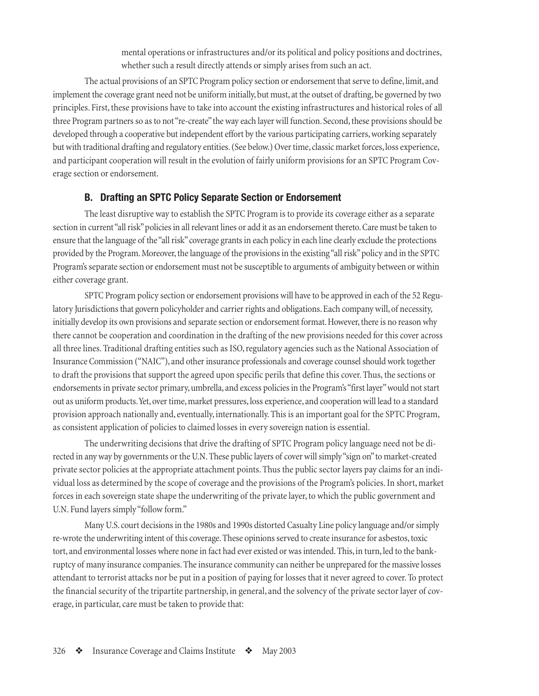mental operations or infrastructures and/or its political and policy positions and doctrines, whether such a result directly attends or simply arises from such an act.

<span id="page-13-0"></span>The actual provisions of an SPTC Program policy section or endorsement that serve to define, limit, and implement the coverage grant need not be uniform initially, but must, at the outset of drafting, be governed by two principles. First, these provisions have to take into account the existing infrastructures and historical roles of all three Program partners so as to not "re-create" the way each layer will function. Second, these provisions should be developed through a cooperative but independent effort by the various participating carriers, working separately but with traditional drafting and regulatory entities. (See below.) Over time, classic market forces, loss experience, and participant cooperation will result in the evolution of fairly uniform provisions for an SPTC Program Coverage section or endorsement.

#### **B. Drafting an SPTC Policy Separate Section or Endorsement**

The least disruptive way to establish the SPTC Program is to provide its coverage either as a separate section in current "all risk" policies in all relevant lines or add it as an endorsement thereto. Care must be taken to ensure that the language of the "all risk" coverage grants in each policy in each line clearly exclude the protections provided by the Program. Moreover, the language of the provisions in the existing "all risk" policy and in the SPTC Program's separate section or endorsement must not be susceptible to arguments of ambiguity between or within either coverage grant.

SPTC Program policy section or endorsement provisions will have to be approved in each of the 52 Regulatory Jurisdictions that govern policyholder and carrier rights and obligations. Each company will, of necessity, initially develop its own provisions and separate section or endorsement format. However, there is no reason why there cannot be cooperation and coordination in the drafting of the new provisions needed for this cover across all three lines. Traditional drafting entities such as ISO, regulatory agencies such as the National Association of Insurance Commission ("NAIC"), and other insurance professionals and coverage counsel should work together to draft the provisions that support the agreed upon specific perils that define this cover. Thus, the sections or endorsements in private sector primary, umbrella, and excess policies in the Program's "first layer" would not start out as uniform products. Yet, over time, market pressures, loss experience, and cooperation will lead to a standard provision approach nationally and, eventually, internationally. This is an important goal for the SPTC Program, as consistent application of policies to claimed losses in every sovereign nation is essential.

The underwriting decisions that drive the drafting of SPTC Program policy language need not be directed in any way by governments or the U.N. These public layers of cover will simply "sign on" to market-created private sector policies at the appropriate attachment points. Thus the public sector layers pay claims for an individual loss as determined by the scope of coverage and the provisions of the Program's policies. In short, market forces in each sovereign state shape the underwriting of the private layer, to which the public government and U.N. Fund layers simply "follow form."

Many U.S. court decisions in the 1980s and 1990s distorted Casualty Line policy language and/or simply re-wrote the underwriting intent of this coverage. These opinions served to create insurance for asbestos, toxic tort, and environmental losses where none in fact had ever existed or was intended. This, in turn, led to the bankruptcy of many insurance companies. The insurance community can neither be unprepared for the massive losses attendant to terrorist attacks nor be put in a position of paying for losses that it never agreed to cover. To protect the financial security of the tripartite partnership, in general, and the solvency of the private sector layer of coverage, in particular, care must be taken to provide that: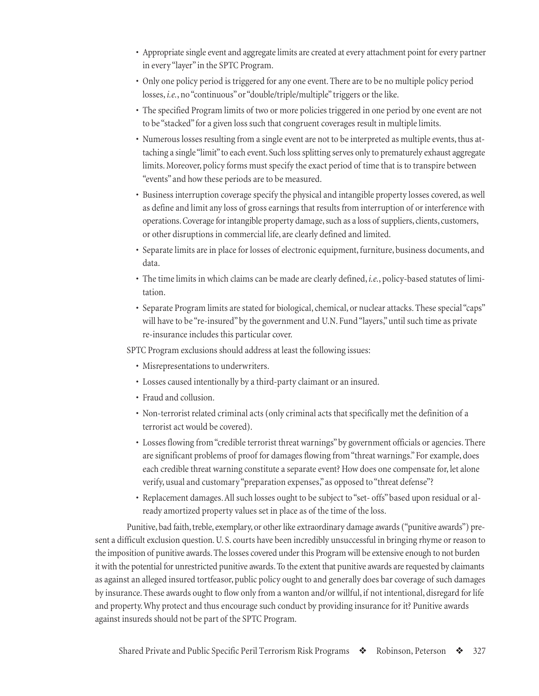- Appropriate single event and aggregate limits are created at every attachment point for every partner in every "layer" in the SPTC Program.
- Only one policy period is triggered for any one event. There are to be no multiple policy period losses, *i.e.*, no "continuous" or "double/triple/multiple" triggers or the like.
- The specified Program limits of two or more policies triggered in one period by one event are not to be "stacked" for a given loss such that congruent coverages result in multiple limits.
- Numerous losses resulting from a single event are not to be interpreted as multiple events, thus attaching a single "limit" to each event. Such loss splitting serves only to prematurely exhaust aggregate limits. Moreover, policy forms must specify the exact period of time that is to transpire between "events" and how these periods are to be measured.
- Business interruption coverage specify the physical and intangible property losses covered, as well as define and limit any loss of gross earnings that results from interruption of or interference with operations. Coverage for intangible property damage, such as a loss of suppliers, clients, customers, or other disruptions in commercial life, are clearly defined and limited.
- Separate limits are in place for losses of electronic equipment, furniture, business documents, and data.
- The time limits in which claims can be made are clearly defined, *i.e.*, policy-based statutes of limitation.
- Separate Program limits are stated for biological, chemical, or nuclear attacks. These special "caps" will have to be "re-insured" by the government and U.N. Fund "layers," until such time as private re-insurance includes this particular cover.

SPTC Program exclusions should address at least the following issues:

- Misrepresentations to underwriters.
- Losses caused intentionally by a third-party claimant or an insured.
- Fraud and collusion.
- Non-terrorist related criminal acts (only criminal acts that specifically met the definition of a terrorist act would be covered).
- Losses flowing from "credible terrorist threat warnings" by government officials or agencies. There are significant problems of proof for damages flowing from "threat warnings." For example, does each credible threat warning constitute a separate event? How does one compensate for, let alone verify, usual and customary "preparation expenses," as opposed to "threat defense"?
- Replacement damages. All such losses ought to be subject to "set- offs" based upon residual or already amortized property values set in place as of the time of the loss.

Punitive, bad faith, treble, exemplary, or other like extraordinary damage awards ("punitive awards") present a difficult exclusion question. U. S. courts have been incredibly unsuccessful in bringing rhyme or reason to the imposition of punitive awards. The losses covered under this Program will be extensive enough to not burden it with the potential for unrestricted punitive awards. To the extent that punitive awards are requested by claimants as against an alleged insured tortfeasor, public policy ought to and generally does bar coverage of such damages by insurance. These awards ought to flow only from a wanton and/or willful, if not intentional, disregard for life and property. Why protect and thus encourage such conduct by providing insurance for it? Punitive awards against insureds should not be part of the SPTC Program.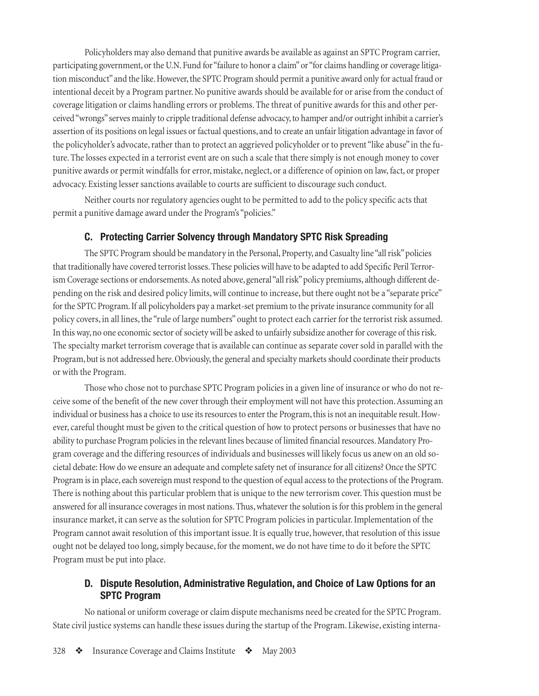<span id="page-15-0"></span>Policyholders may also demand that punitive awards be available as against an SPTC Program carrier, participating government, or the U.N. Fund for "failure to honor a claim" or "for claims handling or coverage litigation misconduct" and the like. However, the SPTC Program should permit a punitive award only for actual fraud or intentional deceit by a Program partner. No punitive awards should be available for or arise from the conduct of coverage litigation or claims handling errors or problems. The threat of punitive awards for this and other perceived "wrongs" serves mainly to cripple traditional defense advocacy, to hamper and/or outright inhibit a carrier's assertion of its positions on legal issues or factual questions, and to create an unfair litigation advantage in favor of the policyholder's advocate, rather than to protect an aggrieved policyholder or to prevent "like abuse" in the future. The losses expected in a terrorist event are on such a scale that there simply is not enough money to cover punitive awards or permit windfalls for error, mistake, neglect, or a difference of opinion on law, fact, or proper advocacy. Existing lesser sanctions available to courts are sufficient to discourage such conduct.

Neither courts nor regulatory agencies ought to be permitted to add to the policy specific acts that permit a punitive damage award under the Program's "policies."

#### **C. Protecting Carrier Solvency through Mandatory SPTC Risk Spreading**

The SPTC Program should be mandatory in the Personal, Property, and Casualty line "all risk" policies that traditionally have covered terrorist losses. These policies will have to be adapted to add Specific Peril Terrorism Coverage sections or endorsements. As noted above, general "all risk" policy premiums, although different depending on the risk and desired policy limits, will continue to increase, but there ought not be a "separate price" for the SPTC Program. If all policyholders pay a market-set premium to the private insurance community for all policy covers, in all lines, the "rule of large numbers" ought to protect each carrier for the terrorist risk assumed. In this way, no one economic sector of society will be asked to unfairly subsidize another for coverage of this risk. The specialty market terrorism coverage that is available can continue as separate cover sold in parallel with the Program, but is not addressed here. Obviously, the general and specialty markets should coordinate their products or with the Program.

Those who chose not to purchase SPTC Program policies in a given line of insurance or who do not receive some of the benefit of the new cover through their employment will not have this protection. Assuming an individual or business has a choice to use its resources to enter the Program, this is not an inequitable result. However, careful thought must be given to the critical question of how to protect persons or businesses that have no ability to purchase Program policies in the relevant lines because of limited financial resources. Mandatory Program coverage and the differing resources of individuals and businesses will likely focus us anew on an old societal debate: How do we ensure an adequate and complete safety net of insurance for all citizens? Once the SPTC Program is in place, each sovereign must respond to the question of equal access to the protections of the Program. There is nothing about this particular problem that is unique to the new terrorism cover. This question must be answered for all insurance coverages in most nations. Thus, whatever the solution is for this problem in the general insurance market, it can serve as the solution for SPTC Program policies in particular. Implementation of the Program cannot await resolution of this important issue. It is equally true, however, that resolution of this issue ought not be delayed too long, simply because, for the moment, we do not have time to do it before the SPTC Program must be put into place.

#### **D. Dispute Resolution, Administrative Regulation, and Choice of Law Options for an SPTC Program**

No national or uniform coverage or claim dispute mechanisms need be created for the SPTC Program. State civil justice systems can handle these issues during the startup of the Program. Likewise, existing interna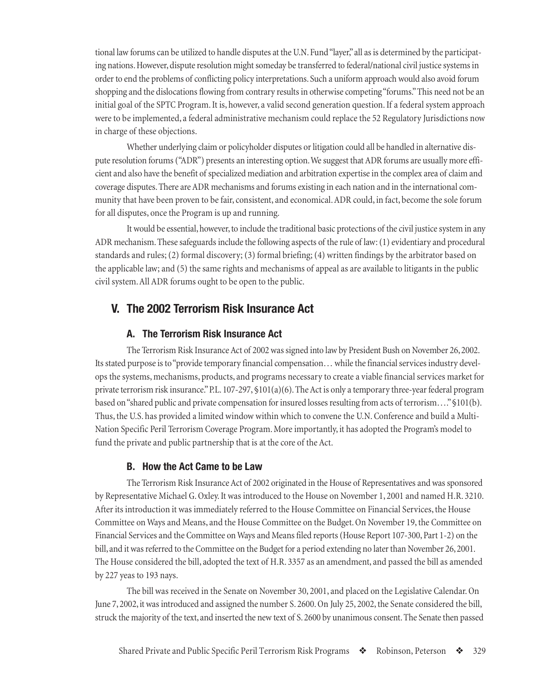<span id="page-16-0"></span>tional law forums can be utilized to handle disputes at the U.N. Fund "layer," all as is determined by the participating nations. However, dispute resolution might someday be transferred to federal/national civil justice systems in order to end the problems of conflicting policy interpretations. Such a uniform approach would also avoid forum shopping and the dislocations flowing from contrary results in otherwise competing "forums." This need not be an initial goal of the SPTC Program. It is, however, a valid second generation question. If a federal system approach were to be implemented, a federal administrative mechanism could replace the 52 Regulatory Jurisdictions now in charge of these objections.

Whether underlying claim or policyholder disputes or litigation could all be handled in alternative dispute resolution forums ("ADR") presents an interesting option. We suggest that ADR forums are usually more efficient and also have the benefit of specialized mediation and arbitration expertise in the complex area of claim and coverage disputes. There are ADR mechanisms and forums existing in each nation and in the international community that have been proven to be fair, consistent, and economical. ADR could, in fact, become the sole forum for all disputes, once the Program is up and running.

It would be essential, however, to include the traditional basic protections of the civil justice system in any ADR mechanism. These safeguards include the following aspects of the rule of law: (1) evidentiary and procedural standards and rules; (2) formal discovery; (3) formal briefing; (4) written findings by the arbitrator based on the applicable law; and (5) the same rights and mechanisms of appeal as are available to litigants in the public civil system. All ADR forums ought to be open to the public.

#### **V. The 2002 Terrorism Risk Insurance Act**

#### **A. The Terrorism Risk Insurance Act**

The Terrorism Risk Insurance Act of 2002 was signed into law by President Bush on November 26, 2002. Its stated purpose is to "provide temporary financial compensation… while the financial services industry develops the systems, mechanisms, products, and programs necessary to create a viable financial services market for private terrorism risk insurance." P.L. 107-297, §101(a)(6). The Act is only a temporary three-year federal program based on "shared public and private compensation for insured losses resulting from acts of terrorism…." §101(b). Thus, the U.S. has provided a limited window within which to convene the U.N. Conference and build a Multi-Nation Specific Peril Terrorism Coverage Program. More importantly, it has adopted the Program's model to fund the private and public partnership that is at the core of the Act.

#### **B. How the Act Came to be Law**

The Terrorism Risk Insurance Act of 2002 originated in the House of Representatives and was sponsored by Representative Michael G. Oxley. It was introduced to the House on November 1, 2001 and named H.R. 3210. After its introduction it was immediately referred to the House Committee on Financial Services, the House Committee on Ways and Means, and the House Committee on the Budget. On November 19, the Committee on Financial Services and the Committee on Ways and Means filed reports (House Report 107-300, Part 1-2) on the bill, and it was referred to the Committee on the Budget for a period extending no later than November 26, 2001. The House considered the bill, adopted the text of H.R. 3357 as an amendment, and passed the bill as amended by 227 yeas to 193 nays.

The bill was received in the Senate on November 30, 2001, and placed on the Legislative Calendar. On June 7, 2002, it was introduced and assigned the number S. 2600. On July 25, 2002, the Senate considered the bill, struck the majority of the text, and inserted the new text of S. 2600 by unanimous consent. The Senate then passed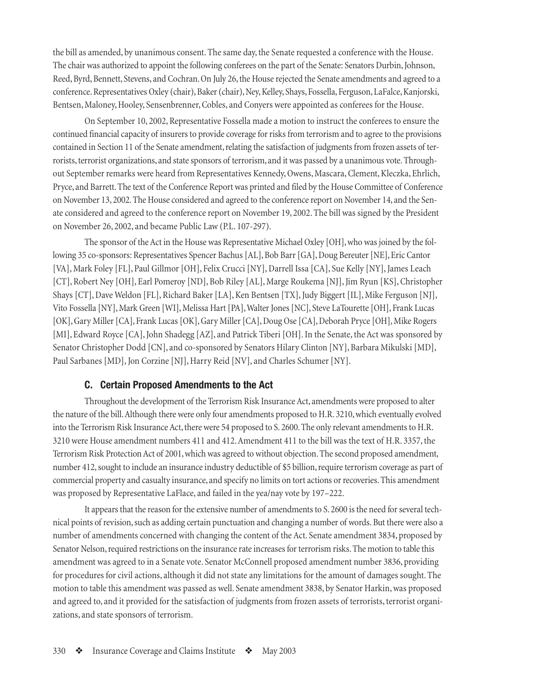<span id="page-17-0"></span>the bill as amended, by unanimous consent. The same day, the Senate requested a conference with the House. The chair was authorized to appoint the following conferees on the part of the Senate: Senators Durbin, Johnson, Reed, Byrd, Bennett, Stevens, and Cochran. On July 26, the House rejected the Senate amendments and agreed to a conference. Representatives Oxley (chair), Baker (chair), Ney, Kelley, Shays, Fossella, Ferguson, LaFalce, Kanjorski, Bentsen, Maloney, Hooley, Sensenbrenner, Cobles, and Conyers were appointed as conferees for the House.

On September 10, 2002, Representative Fossella made a motion to instruct the conferees to ensure the continued financial capacity of insurers to provide coverage for risks from terrorism and to agree to the provisions contained in Section 11 of the Senate amendment, relating the satisfaction of judgments from frozen assets of terrorists, terrorist organizations, and state sponsors of terrorism, and it was passed by a unanimous vote. Throughout September remarks were heard from Representatives Kennedy, Owens, Mascara, Clement, Kleczka, Ehrlich, Pryce, and Barrett. The text of the Conference Report was printed and filed by the House Committee of Conference on November 13, 2002. The House considered and agreed to the conference report on November 14, and the Senate considered and agreed to the conference report on November 19, 2002. The bill was signed by the President on November 26, 2002, and became Public Law (P.L. 107-297).

The sponsor of the Act in the House was Representative Michael Oxley [OH], who was joined by the following 35 co-sponsors: Representatives Spencer Bachus [AL], Bob Barr [GA], Doug Bereuter [NE], Eric Cantor [VA], Mark Foley [FL], Paul Gillmor [OH], Felix Crucci [NY], Darrell Issa [CA], Sue Kelly [NY], James Leach [CT], Robert Ney [OH], Earl Pomeroy [ND], Bob Riley [AL], Marge Roukema [NJ], Jim Ryun [KS], Christopher Shays [CT], Dave Weldon [FL], Richard Baker [LA], Ken Bentsen [TX], Judy Biggert [IL], Mike Ferguson [NJ], Vito Fossella [NY], Mark Green [WI], Melissa Hart [PA], Walter Jones [NC], Steve LaTourette [OH], Frank Lucas [OK], Gary Miller [CA], Frank Lucas [OK], Gary Miller [CA], Doug Ose [CA], Deborah Pryce [OH], Mike Rogers [MI], Edward Royce [CA], John Shadegg [AZ], and Patrick Tiberi [OH]. In the Senate, the Act was sponsored by Senator Christopher Dodd [CN], and co-sponsored by Senators Hilary Clinton [NY], Barbara Mikulski [MD], Paul Sarbanes [MD], Jon Corzine [NJ], Harry Reid [NV], and Charles Schumer [NY].

#### **C. Certain Proposed Amendments to the Act**

Throughout the development of the Terrorism Risk Insurance Act, amendments were proposed to alter the nature of the bill. Although there were only four amendments proposed to H.R. 3210, which eventually evolved into the Terrorism Risk Insurance Act, there were 54 proposed to S. 2600. The only relevant amendments to H.R. 3210 were House amendment numbers 411 and 412. Amendment 411 to the bill was the text of H.R. 3357, the Terrorism Risk Protection Act of 2001, which was agreed to without objection. The second proposed amendment, number 412, sought to include an insurance industry deductible of \$5 billion, require terrorism coverage as part of commercial property and casualty insurance, and specify no limits on tort actions or recoveries. This amendment was proposed by Representative LaFlace, and failed in the yea/nay vote by 197–222.

It appears that the reason for the extensive number of amendments to S. 2600 is the need for several technical points of revision, such as adding certain punctuation and changing a number of words. But there were also a number of amendments concerned with changing the content of the Act. Senate amendment 3834, proposed by Senator Nelson, required restrictions on the insurance rate increases for terrorism risks. The motion to table this amendment was agreed to in a Senate vote. Senator McConnell proposed amendment number 3836, providing for procedures for civil actions, although it did not state any limitations for the amount of damages sought. The motion to table this amendment was passed as well. Senate amendment 3838, by Senator Harkin, was proposed and agreed to, and it provided for the satisfaction of judgments from frozen assets of terrorists, terrorist organizations, and state sponsors of terrorism.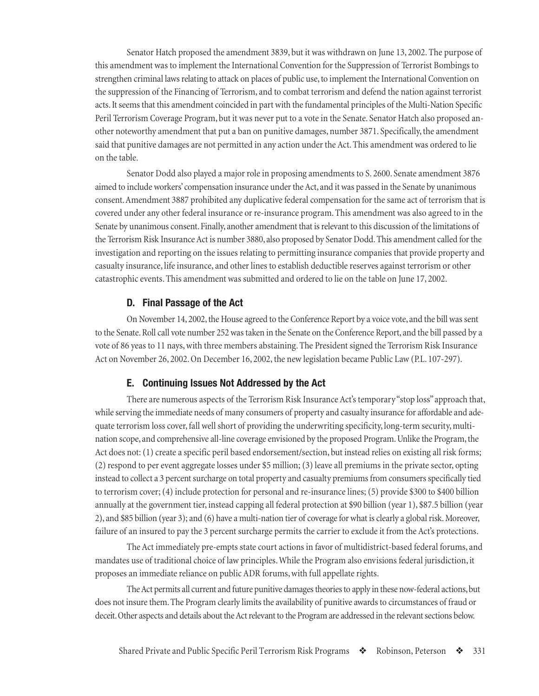<span id="page-18-0"></span>Senator Hatch proposed the amendment 3839, but it was withdrawn on June 13, 2002. The purpose of this amendment was to implement the International Convention for the Suppression of Terrorist Bombings to strengthen criminal laws relating to attack on places of public use, to implement the International Convention on the suppression of the Financing of Terrorism, and to combat terrorism and defend the nation against terrorist acts. It seems that this amendment coincided in part with the fundamental principles of the Multi-Nation Specific Peril Terrorism Coverage Program, but it was never put to a vote in the Senate. Senator Hatch also proposed another noteworthy amendment that put a ban on punitive damages, number 3871. Specifically, the amendment said that punitive damages are not permitted in any action under the Act. This amendment was ordered to lie on the table.

Senator Dodd also played a major role in proposing amendments to S. 2600. Senate amendment 3876 aimed to include workers' compensation insurance under the Act, and it was passed in the Senate by unanimous consent. Amendment 3887 prohibited any duplicative federal compensation for the same act of terrorism that is covered under any other federal insurance or re-insurance program. This amendment was also agreed to in the Senate by unanimous consent. Finally, another amendment that is relevant to this discussion of the limitations of the Terrorism Risk Insurance Act is number 3880, also proposed by Senator Dodd. This amendment called for the investigation and reporting on the issues relating to permitting insurance companies that provide property and casualty insurance, life insurance, and other lines to establish deductible reserves against terrorism or other catastrophic events. This amendment was submitted and ordered to lie on the table on June 17, 2002.

#### **D. Final Passage of the Act**

On November 14, 2002, the House agreed to the Conference Report by a voice vote, and the bill was sent to the Senate. Roll call vote number 252 was taken in the Senate on the Conference Report, and the bill passed by a vote of 86 yeas to 11 nays, with three members abstaining. The President signed the Terrorism Risk Insurance Act on November 26, 2002. On December 16, 2002, the new legislation became Public Law (P.L. 107-297).

#### **E. Continuing Issues Not Addressed by the Act**

There are numerous aspects of the Terrorism Risk Insurance Act's temporary "stop loss" approach that, while serving the immediate needs of many consumers of property and casualty insurance for affordable and adequate terrorism loss cover, fall well short of providing the underwriting specificity, long-term security, multination scope, and comprehensive all-line coverage envisioned by the proposed Program. Unlike the Program, the Act does not: (1) create a specific peril based endorsement/section, but instead relies on existing all risk forms; (2) respond to per event aggregate losses under \$5 million; (3) leave all premiums in the private sector, opting instead to collect a 3 percent surcharge on total property and casualty premiums from consumers specifically tied to terrorism cover; (4) include protection for personal and re-insurance lines; (5) provide \$300 to \$400 billion annually at the government tier, instead capping all federal protection at \$90 billion (year 1), \$87.5 billion (year 2), and \$85 billion (year 3); and (6) have a multi-nation tier of coverage for what is clearly a global risk. Moreover, failure of an insured to pay the 3 percent surcharge permits the carrier to exclude it from the Act's protections.

The Act immediately pre-empts state court actions in favor of multidistrict-based federal forums, and mandates use of traditional choice of law principles. While the Program also envisions federal jurisdiction, it proposes an immediate reliance on public ADR forums, with full appellate rights.

The Act permits all current and future punitive damages theories to apply in these now-federal actions, but does not insure them. The Program clearly limits the availability of punitive awards to circumstances of fraud or deceit. Other aspects and details about the Act relevant to the Program are addressed in the relevant sections below.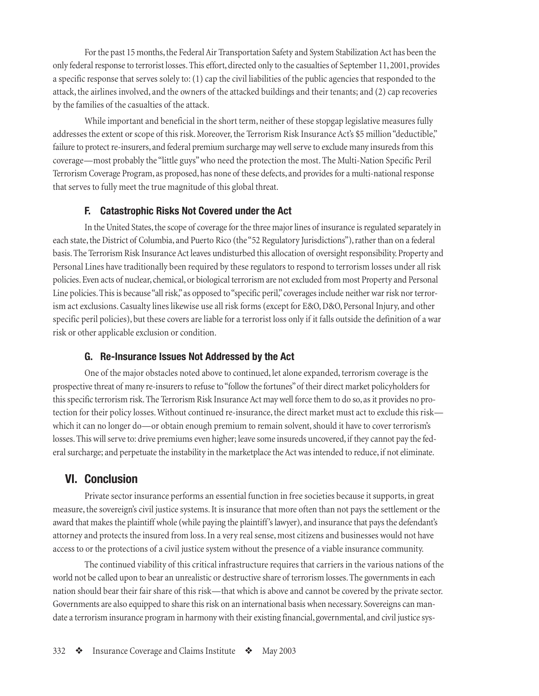<span id="page-19-0"></span>For the past 15 months, the Federal Air Transportation Safety and System Stabilization Act has been the only federal response to terrorist losses. This effort, directed only to the casualties of September 11, 2001, provides a specific response that serves solely to: (1) cap the civil liabilities of the public agencies that responded to the attack, the airlines involved, and the owners of the attacked buildings and their tenants; and (2) cap recoveries by the families of the casualties of the attack.

While important and beneficial in the short term, neither of these stopgap legislative measures fully addresses the extent or scope of this risk. Moreover, the Terrorism Risk Insurance Act's \$5 million "deductible," failure to protect re-insurers, and federal premium surcharge may well serve to exclude many insureds from this coverage—most probably the "little guys" who need the protection the most. The Multi-Nation Specific Peril Terrorism Coverage Program, as proposed, has none of these defects, and provides for a multi-national response that serves to fully meet the true magnitude of this global threat.

#### **F. Catastrophic Risks Not Covered under the Act**

In the United States, the scope of coverage for the three major lines of insurance is regulated separately in each state, the District of Columbia, and Puerto Rico (the "52 Regulatory Jurisdictions"), rather than on a federal basis. The Terrorism Risk Insurance Act leaves undisturbed this allocation of oversight responsibility. Property and Personal Lines have traditionally been required by these regulators to respond to terrorism losses under all risk policies. Even acts of nuclear, chemical, or biological terrorism are not excluded from most Property and Personal Line policies. This is because "all risk," as opposed to "specific peril," coverages include neither war risk nor terrorism act exclusions. Casualty lines likewise use all risk forms (except for E&O, D&O, Personal Injury, and other specific peril policies), but these covers are liable for a terrorist loss only if it falls outside the definition of a war risk or other applicable exclusion or condition.

#### **G. Re-Insurance Issues Not Addressed by the Act**

One of the major obstacles noted above to continued, let alone expanded, terrorism coverage is the prospective threat of many re-insurers to refuse to "follow the fortunes" of their direct market policyholders for this specific terrorism risk. The Terrorism Risk Insurance Act may well force them to do so, as it provides no protection for their policy losses. Without continued re-insurance, the direct market must act to exclude this risk which it can no longer do—or obtain enough premium to remain solvent, should it have to cover terrorism's losses. This will serve to: drive premiums even higher; leave some insureds uncovered, if they cannot pay the federal surcharge; and perpetuate the instability in the marketplace the Act was intended to reduce, if not eliminate.

#### **VI. Conclusion**

Private sector insurance performs an essential function in free societies because it supports, in great measure, the sovereign's civil justice systems. It is insurance that more often than not pays the settlement or the award that makes the plaintiff whole (while paying the plaintiff 's lawyer), and insurance that pays the defendant's attorney and protects the insured from loss. In a very real sense, most citizens and businesses would not have access to or the protections of a civil justice system without the presence of a viable insurance community.

The continued viability of this critical infrastructure requires that carriers in the various nations of the world not be called upon to bear an unrealistic or destructive share of terrorism losses. The governments in each nation should bear their fair share of this risk—that which is above and cannot be covered by the private sector. Governments are also equipped to share this risk on an international basis when necessary. Sovereigns can mandate a terrorism insurance program in harmony with their existing financial, governmental, and civil justice sys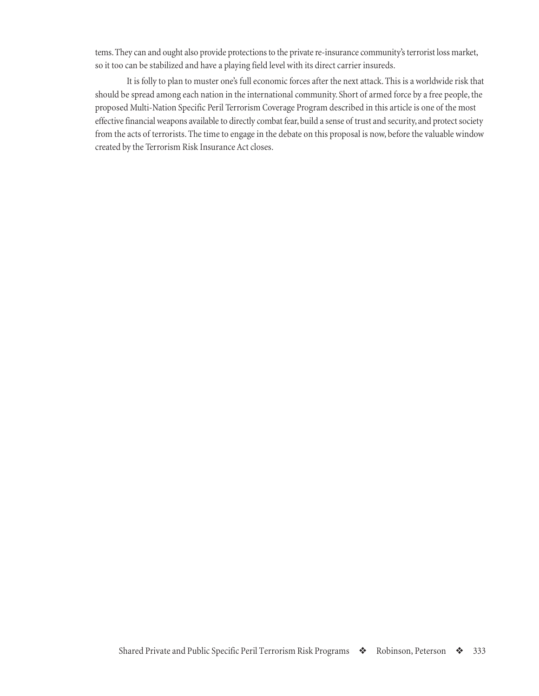<span id="page-20-0"></span>tems. They can and ought also provide protections to the private re-insurance community's terrorist loss market, so it too can be stabilized and have a playing field level with its direct carrier insureds.

It is folly to plan to muster one's full economic forces after the next attack. This is a worldwide risk that should be spread among each nation in the international community. Short of armed force by a free people, the proposed Multi-Nation Specific Peril Terrorism Coverage Program described in this article is one of the most effective financial weapons available to directly combat fear, build a sense of trust and security, and protect society from the acts of terrorists. The time to engage in the debate on this proposal is now, before the valuable window created by the Terrorism Risk Insurance Act closes.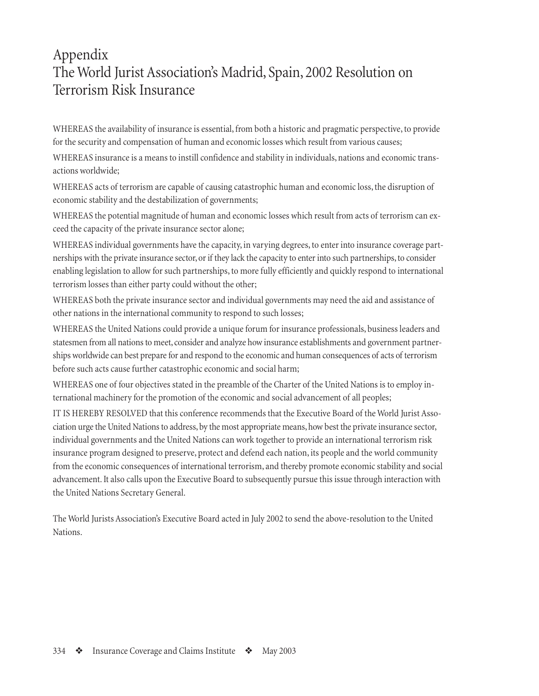## <span id="page-21-0"></span>Appendix The World Jurist Association's Madrid, Spain, 2002 Resolution on Terrorism Risk Insurance

WHEREAS the availability of insurance is essential, from both a historic and pragmatic perspective, to provide for the security and compensation of human and economic losses which result from various causes;

WHEREAS insurance is a means to instill confidence and stability in individuals, nations and economic transactions worldwide;

WHEREAS acts of terrorism are capable of causing catastrophic human and economic loss, the disruption of economic stability and the destabilization of governments;

WHEREAS the potential magnitude of human and economic losses which result from acts of terrorism can exceed the capacity of the private insurance sector alone;

WHEREAS individual governments have the capacity, in varying degrees, to enter into insurance coverage partnerships with the private insurance sector, or if they lack the capacity to enter into such partnerships, to consider enabling legislation to allow for such partnerships, to more fully efficiently and quickly respond to international terrorism losses than either party could without the other;

WHEREAS both the private insurance sector and individual governments may need the aid and assistance of other nations in the international community to respond to such losses;

WHEREAS the United Nations could provide a unique forum for insurance professionals, business leaders and statesmen from all nations to meet, consider and analyze how insurance establishments and government partnerships worldwide can best prepare for and respond to the economic and human consequences of acts of terrorism before such acts cause further catastrophic economic and social harm;

WHEREAS one of four objectives stated in the preamble of the Charter of the United Nations is to employ international machinery for the promotion of the economic and social advancement of all peoples;

IT IS HEREBY RESOLVED that this conference recommends that the Executive Board of the World Jurist Association urge the United Nations to address, by the most appropriate means, how best the private insurance sector, individual governments and the United Nations can work together to provide an international terrorism risk insurance program designed to preserve, protect and defend each nation, its people and the world community from the economic consequences of international terrorism, and thereby promote economic stability and social advancement. It also calls upon the Executive Board to subsequently pursue this issue through interaction with the United Nations Secretary General.

The World Jurists Association's Executive Board acted in July 2002 to send the above-resolution to the United Nations.